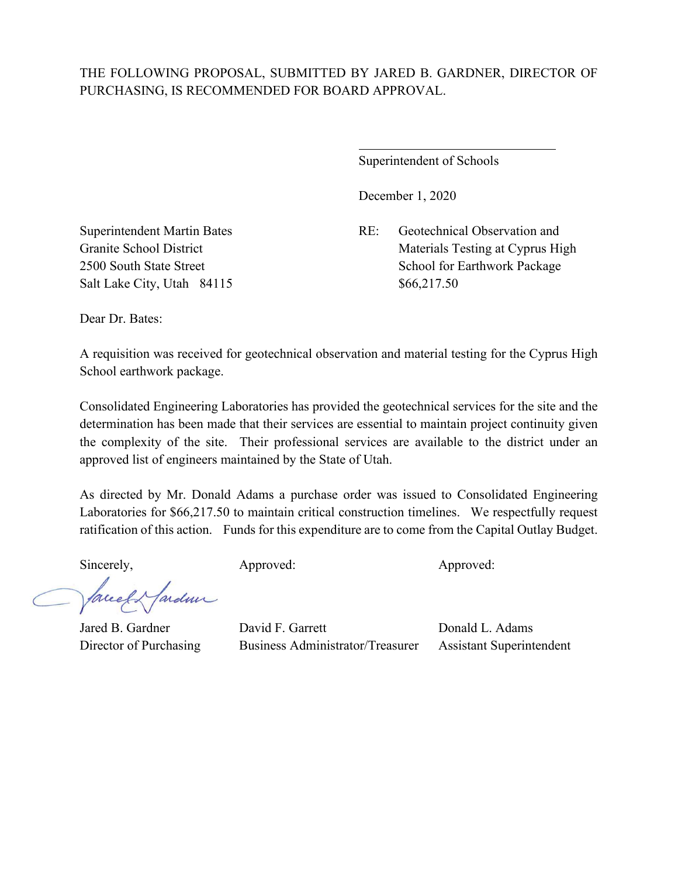## THE FOLLOWING PROPOSAL, SUBMITTED BY JARED B. GARDNER, DIRECTOR OF PURCHASING, IS RECOMMENDED FOR BOARD APPROVAL.

 $\overline{a}$ 

Superintendent of Schools

December 1, 2020

Superintendent Martin Bates RE: Geotechnical Observation and Granite School District Materials Testing at Cyprus High 2500 South State Street School for Earthwork Package

Salt Lake City, Utah 84115 \$66,217.50

Dear Dr. Bates:

A requisition was received for geotechnical observation and material testing for the Cyprus High School earthwork package.

Consolidated Engineering Laboratories has provided the geotechnical services for the site and the determination has been made that their services are essential to maintain project continuity given the complexity of the site. Their professional services are available to the district under an approved list of engineers maintained by the State of Utah.

As directed by Mr. Donald Adams a purchase order was issued to Consolidated Engineering Laboratories for \$66,217.50 to maintain critical construction timelines. We respectfully request ratification of this action. Funds for this expenditure are to come from the Capital Outlay Budget.

Sincerely, Approved: Approved: Approved: Approved:

facely farden

Jared B. Gardner David F. Garrett Donald L. Adams Director of Purchasing Business Administrator/Treasurer Assistant Superintendent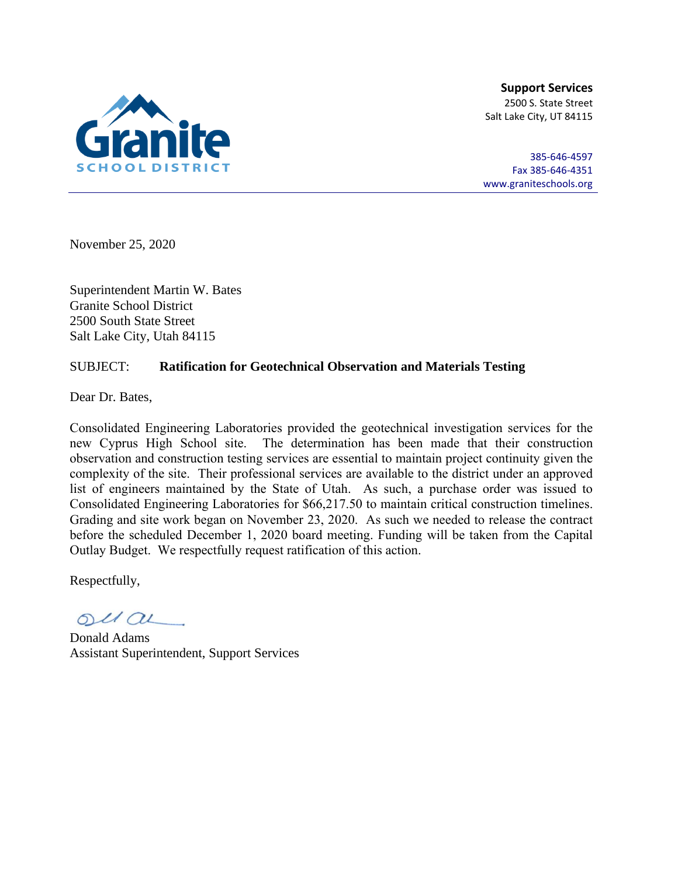

**Support Services** 2500 S. State Street Salt Lake City, UT 84115

385-646-4597 Fax 385-646-4351 [www.graniteschools.org](http://www.graniteschools.org/)

November 25, 2020

Superintendent Martin W. Bates Granite School District 2500 South State Street Salt Lake City, Utah 84115

## SUBJECT: **Ratification for Geotechnical Observation and Materials Testing**

Dear Dr. Bates,

Consolidated Engineering Laboratories provided the geotechnical investigation services for the new Cyprus High School site. The determination has been made that their construction observation and construction testing services are essential to maintain project continuity given the complexity of the site. Their professional services are available to the district under an approved list of engineers maintained by the State of Utah. As such, a purchase order was issued to Consolidated Engineering Laboratories for \$66,217.50 to maintain critical construction timelines. Grading and site work began on November 23, 2020. As such we needed to release the contract before the scheduled December 1, 2020 board meeting. Funding will be taken from the Capital Outlay Budget. We respectfully request ratification of this action.

Respectfully,

 $O(10)$ 

Donald Adams Assistant Superintendent, Support Services